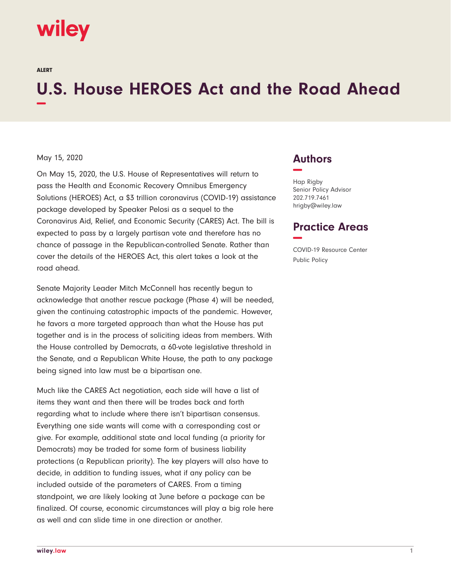# wiley

ALERT

# **U.S. House HEROES Act and the Road Ahead −**

#### May 15, 2020

On May 15, 2020, the U.S. House of Representatives will return to pass the Health and Economic Recovery Omnibus Emergency Solutions (HEROES) Act, a \$3 trillion coronavirus (COVID-19) assistance package developed by Speaker Pelosi as a sequel to the Coronavirus Aid, Relief, and Economic Security (CARES) Act. The bill is expected to pass by a largely partisan vote and therefore has no chance of passage in the Republican-controlled Senate. Rather than cover the details of the HEROES Act, this alert takes a look at the road ahead.

Senate Majority Leader Mitch McConnell has recently begun to acknowledge that another rescue package (Phase 4) will be needed, given the continuing catastrophic impacts of the pandemic. However, he favors a more targeted approach than what the House has put together and is in the process of soliciting ideas from members. With the House controlled by Democrats, a 60-vote legislative threshold in the Senate, and a Republican White House, the path to any package being signed into law must be a bipartisan one.

Much like the CARES Act negotiation, each side will have a list of items they want and then there will be trades back and forth regarding what to include where there isn't bipartisan consensus. Everything one side wants will come with a corresponding cost or give. For example, additional state and local funding (a priority for Democrats) may be traded for some form of business liability protections (a Republican priority). The key players will also have to decide, in addition to funding issues, what if any policy can be included outside of the parameters of CARES. From a timing standpoint, we are likely looking at June before a package can be finalized. Of course, economic circumstances will play a big role here as well and can slide time in one direction or another.

### **Authors −**

Hap Rigby Senior Policy Advisor 202.719.7461 hrigby@wiley.law

## **Practice Areas −**

COVID-19 Resource Center Public Policy